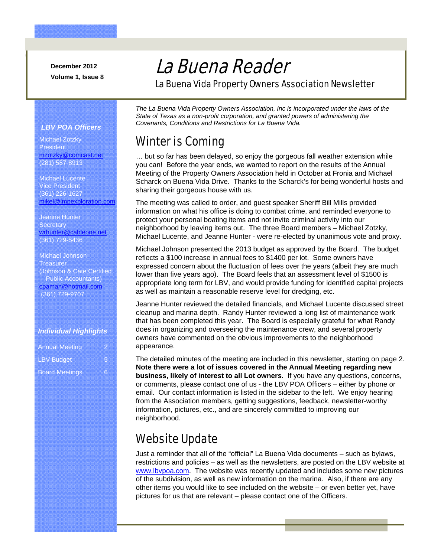**December 2012 Volume 1, Issue 8** 

Good catch.

# La Buena Reader

La Buena Vida Property Owners Association Newsletter

#### *LBV POA Officers*

Michael Zotzky President mzotzky@comcast.net (281) 587-8913

Michael Lucente Vice President (361) 226-1627 mikel@lmpexploration.com

Jeanne Hunter **Secretary** wrhunter@cableone.net (361) 729-5436

#### Michael Johnson **Treasurer** (Johnson & Cate Certified Public Accountants) cpaman@hotmail.com (361) 729-9707

#### *Individual Highlights*

| <b>Annual Meeting</b> |   |
|-----------------------|---|
| <b>LBV Budget</b>     | Б |
| <b>Board Meetings</b> | R |

*The La Buena Vida Property Owners Association, Inc is incorporated under the laws of the State of Texas as a non-profit corporation, and granted powers of administering the Covenants, Conditions and Restrictions for La Buena Vida.* 

### Winter is Coming

… but so far has been delayed, so enjoy the gorgeous fall weather extension while you can! Before the year ends, we wanted to report on the results of the Annual Meeting of the Property Owners Association held in October at Fronia and Michael Scharck on Buena Vida Drive. Thanks to the Scharck's for being wonderful hosts and sharing their gorgeous house with us.

The meeting was called to order, and guest speaker Sheriff Bill Mills provided information on what his office is doing to combat crime, and reminded everyone to protect your personal boating items and not invite criminal activity into our neighborhood by leaving items out. The three Board members – Michael Zotzky, Michael Lucente, and Jeanne Hunter - were re-elected by unanimous vote and proxy.

Michael Johnson presented the 2013 budget as approved by the Board. The budget reflects a \$100 increase in annual fees to \$1400 per lot. Some owners have expressed concern about the fluctuation of fees over the years (albeit they are much lower than five years ago). The Board feels that an assessment level of \$1500 is appropriate long term for LBV, and would provide funding for identified capital projects as well as maintain a reasonable reserve level for dredging, etc.

Jeanne Hunter reviewed the detailed financials, and Michael Lucente discussed street cleanup and marina depth. Randy Hunter reviewed a long list of maintenance work that has been completed this year. The Board is especially grateful for what Randy does in organizing and overseeing the maintenance crew, and several property owners have commented on the obvious improvements to the neighborhood appearance.

The detailed minutes of the meeting are included in this newsletter, starting on page 2. **Note there were a lot of issues covered in the Annual Meeting regarding new business, likely of interest to all Lot owners.** If you have any questions, concerns, or comments, please contact one of us - the LBV POA Officers – either by phone or email. Our contact information is listed in the sidebar to the left. We enjoy hearing from the Association members, getting suggestions, feedback, newsletter-worthy information, pictures, etc., and are sincerely committed to improving our neighborhood.

## Website Update

Just a reminder that all of the "official" La Buena Vida documents – such as bylaws, restrictions and policies – as well as the newsletters, are posted on the LBV website at www.lbvpoa.com. The website was recently updated and includes some new pictures of the subdivision, as well as new information on the marina. Also, if there are any other items you would like to see included on the website – or even better yet, have pictures for us that are relevant – please contact one of the Officers.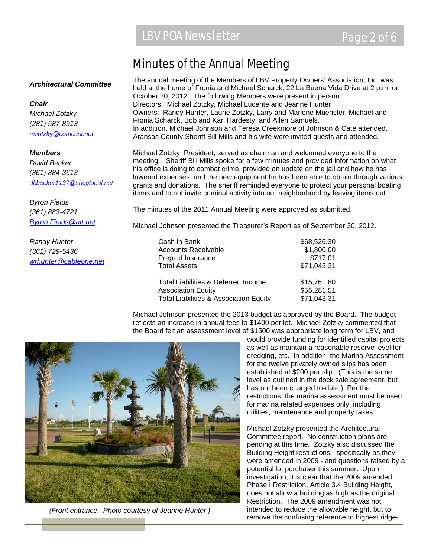### Minutes of the Annual Meeting

#### *Architectural Committee*

*Chair Michael Zotzky (281) 587-8913 mzotzky@comcast.net*

*Members David Becker (361) 884-3613 dkbecker1137@sbcglobal.net*

*Byron Fields (361) 883-4721 Byron.Fields@att.net*

*Randy Hunter (361) 729-5436 wrhunter@cableone.net* The annual meeting of the Members of LBV Property Owners' Association, Inc. was held at the home of Fronia and Michael Scharck, 22 La Buena Vida Drive at 2 p.m. on October 20, 2012. The following Members were present in person: Directors: Michael Zotzky, Michael Lucente and Jeanne Hunter Owners: Randy Hunter, Laurie Zotzky, Larry and Marlene Muenster, Michael and Fronia Scharck, Bob and Kari Hardesty, and Allen Samuels. In addition, Michael Johnson and Teresa Creekmore of Johnson & Cate attended. Aransas County Sheriff Bill Mills and his wife were invited guests and attended.

Michael Zotzky, President, served as chairman and welcomed everyone to the meeting. Sheriff Bill Mills spoke for a few minutes and provided information on what his office is doing to combat crime, provided an update on the jail and how he has lowered expenses, and the new equipment he has been able to obtain through various grants and donations. The sheriff reminded everyone to protect your personal boating items and to not invite criminal activity into our neighborhood by leaving items out.

The minutes of the 2011 Annual Meeting were approved as submitted.

Michael Johnson presented the Treasurer's Report as of September 30, 2012.

| Cash in Bank                                      | \$68,526.30 |
|---------------------------------------------------|-------------|
| <b>Accounts Receivable</b>                        | \$1,800.00  |
| Prepaid Insurance                                 | \$717.01    |
| <b>Total Assets</b>                               | \$71,043.31 |
| Total Liabilities & Deferred Income               | \$15,761.80 |
| <b>Association Equity</b>                         | \$55,281.51 |
| <b>Total Liabilities &amp; Association Equity</b> | \$71,043.31 |

Michael Johnson presented the 2013 budget as approved by the Board. The budget reflects an increase in annual fees to \$1400 per lot. Michael Zotzky commented that the Board felt an assessment level of \$1500 was appropriate long term for LBV, and



*(Front entrance. Photo courtesy of Jeanne Hunter )* 

would provide funding for identified capital projects as well as maintain a reasonable reserve level for dredging, etc. In addition, the Marina Assessment for the twelve privately owned slips has been established at \$200 per slip. (This is the same level as outlined in the dock sale agreement, but has not been charged to-date.) Per the restrictions, the marina assessment must be used for marina related expenses only, including utilities, maintenance and property taxes.

Michael Zotzky presented the Architectural Committee report. No construction plans are pending at this time. Zotzky also discussed the Building Height restrictions - specifically as they were amended in 2009 - and questions raised by a potential lot purchaser this summer. Upon investigation, it is clear that the 2009 amended Phase I Restriction, Article 3.4 Building Height, does not allow a building as high as the original Restriction. The 2009 amendment was not intended to reduce the allowable height, but to remove the confusing reference to highest ridge-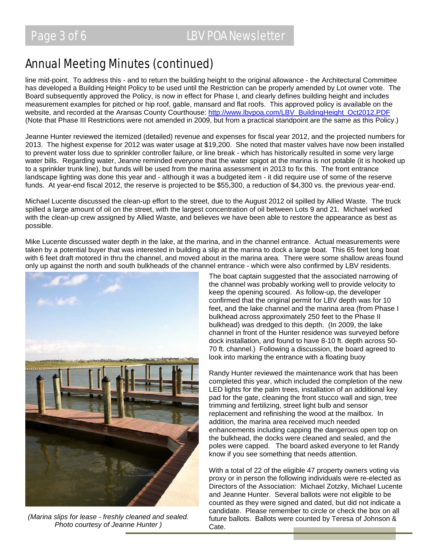### Annual Meeting Minutes (continued)

line mid-point. To address this - and to return the building height to the original allowance - the Architectural Committee has developed a Building Height Policy to be used until the Restriction can be properly amended by Lot owner vote. The Board subsequently approved the Policy, is now in effect for Phase I, and clearly defines building height and includes measurement examples for pitched or hip roof, gable, mansard and flat roofs. This approved policy is available on the website, and recorded at the Aransas County Courthouse: http://www.lbvpoa.com/LBV\_BuildingHeight\_Oct2012.PDF (Note that Phase III Restrictions were not amended in 2009, but from a practical standpoint are the same as this Policy.)

Jeanne Hunter reviewed the itemized (detailed) revenue and expenses for fiscal year 2012, and the projected numbers for 2013. The highest expense for 2012 was water usage at \$19,200. She noted that master valves have now been installed to prevent water loss due to sprinkler controller failure, or line break - which has historically resulted in some very large water bills. Regarding water, Jeanne reminded everyone that the water spigot at the marina is not potable (it is hooked up to a sprinkler trunk line), but funds will be used from the marina assessment in 2013 to fix this. The front entrance landscape lighting was done this year and - although it was a budgeted item - it did require use of some of the reserve funds. At year-end fiscal 2012, the reserve is projected to be \$55,300, a reduction of \$4,300 vs. the previous year-end.

Michael Lucente discussed the clean-up effort to the street, due to the August 2012 oil spilled by Allied Waste. The truck spilled a large amount of oil on the street, with the largest concentration of oil between Lots 9 and 21. Michael worked with the clean-up crew assigned by Allied Waste, and believes we have been able to restore the appearance as best as possible.

Mike Lucente discussed water depth in the lake, at the marina, and in the channel entrance. Actual measurements were taken by a potential buyer that was interested in building a slip at the marina to dock a large boat. This 65 feet long boat with 6 feet draft motored in thru the channel, and moved about in the marina area. There were some shallow areas found only up against the north and south bulkheads of the channel entrance - which were also confirmed by LBV residents.



*(Marina slips for lease - freshly cleaned and sealed. Photo courtesy of Jeanne Hunter )* 

The boat captain suggested that the associated narrowing of the channel was probably working well to provide velocity to keep the opening scoured. As follow-up, the developer confirmed that the original permit for LBV depth was for 10 feet, and the lake channel and the marina area (from Phase I bulkhead across approximately 250 feet to the Phase II bulkhead) was dredged to this depth. (In 2009, the lake channel in front of the Hunter residence was surveyed before dock installation, and found to have 8-10 ft. depth across 50- 70 ft. channel.) Following a discussion, the board agreed to look into marking the entrance with a floating buoy

Randy Hunter reviewed the maintenance work that has been completed this year, which included the completion of the new LED lights for the palm trees, installation of an additional key pad for the gate, cleaning the front stucco wall and sign, tree trimming and fertilizing, street light bulb and sensor replacement and refinishing the wood at the mailbox. In addition, the marina area received much needed enhancements including capping the dangerous open top on the bulkhead, the docks were cleaned and sealed, and the poles were capped. The board asked everyone to let Randy know if you see something that needs attention.

With a total of 22 of the eligible 47 property owners voting via proxy or in person the following individuals were re-elected as Directors of the Association: Michael Zotzky, Michael Lucente and Jeanne Hunter. Several ballots were not eligible to be counted as they were signed and dated, but did not indicate a candidate. Please remember to circle or check the box on all future ballots. Ballots were counted by Teresa of Johnson & Cate.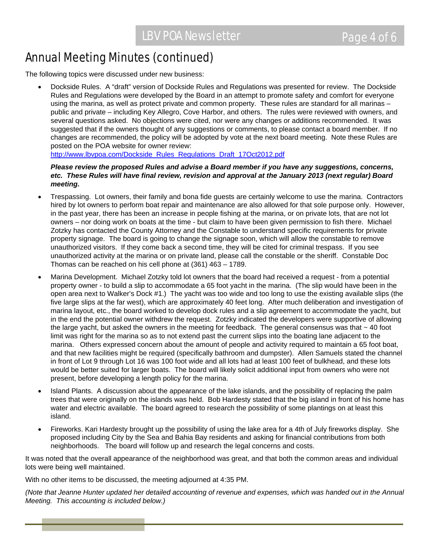### Annual Meeting Minutes (continued)

The following topics were discussed under new business:

• Dockside Rules. A "draft" version of Dockside Rules and Regulations was presented for review. The Dockside Rules and Regulations were developed by the Board in an attempt to promote safety and comfort for everyone using the marina, as well as protect private and common property. These rules are standard for all marinas – public and private – including Key Allegro, Cove Harbor, and others. The rules were reviewed with owners, and several questions asked. No objections were cited, nor were any changes or additions recommended. It was suggested that if the owners thought of any suggestions or comments, to please contact a board member. If no changes are recommended, the policy will be adopted by vote at the next board meeting. Note these Rules are posted on the POA website for owner review:

http://www.lbvpoa.com/Dockside\_Rules\_Regulations\_Draft\_17Oct2012.pdf

#### *Please review the proposed Rules and advise a Board member if you have any suggestions, concerns, etc. These Rules will have final review, revision and approval at the January 2013 (next regular) Board meeting.*

- Trespassing. Lot owners, their family and bona fide guests are certainly welcome to use the marina. Contractors hired by lot owners to perform boat repair and maintenance are also allowed for that sole purpose only. However, in the past year, there has been an increase in people fishing at the marina, or on private lots, that are not lot owners – nor doing work on boats at the time - but claim to have been given permission to fish there. Michael Zotzky has contacted the County Attorney and the Constable to understand specific requirements for private property signage. The board is going to change the signage soon, which will allow the constable to remove unauthorized visitors. If they come back a second time, they will be cited for criminal trespass. If you see unauthorized activity at the marina or on private land, please call the constable or the sheriff. Constable Doc Thomas can be reached on his cell phone at (361) 463 – 1789.
- Marina Development. Michael Zotzky told lot owners that the board had received a request from a potential property owner - to build a slip to accommodate a 65 foot yacht in the marina. (The slip would have been in the open area next to Walker's Dock #1.) The yacht was too wide and too long to use the existing available slips (the five large slips at the far west), which are approximately 40 feet long. After much deliberation and investigation of marina layout, etc., the board worked to develop dock rules and a slip agreement to accommodate the yacht, but in the end the potential owner withdrew the request. Zotzky indicated the developers were supportive of allowing the large yacht, but asked the owners in the meeting for feedback. The general consensus was that  $\sim$  40 foot limit was right for the marina so as to not extend past the current slips into the boating lane adjacent to the marina. Others expressed concern about the amount of people and activity required to maintain a 65 foot boat, and that new facilities might be required (specifically bathroom and dumpster). Allen Samuels stated the channel in front of Lot 9 through Lot 16 was 100 foot wide and all lots had at least 100 feet of bulkhead, and these lots would be better suited for larger boats. The board will likely solicit additional input from owners who were not present, before developing a length policy for the marina.
- Island Plants. A discussion about the appearance of the lake islands, and the possibility of replacing the palm trees that were originally on the islands was held. Bob Hardesty stated that the big island in front of his home has water and electric available. The board agreed to research the possibility of some plantings on at least this island.
- Fireworks. Kari Hardesty brought up the possibility of using the lake area for a 4th of July fireworks display. She proposed including City by the Sea and Bahia Bay residents and asking for financial contributions from both neighborhoods. The board will follow up and research the legal concerns and costs.

It was noted that the overall appearance of the neighborhood was great, and that both the common areas and individual lots were being well maintained.

With no other items to be discussed, the meeting adjourned at 4:35 PM.

*(Note that Jeanne Hunter updated her detailed accounting of revenue and expenses, which was handed out in the Annual Meeting. This accounting is included below.)*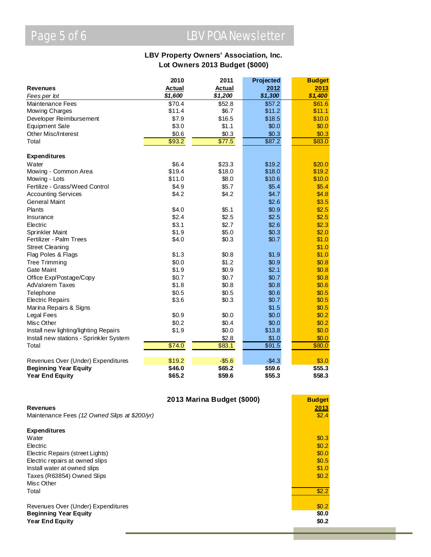# Page 5 of 6 LBV POA Newsletter

#### **LBV Property Owners' Association, Inc. Lot Owners 2013 Budget (\$000)**

|                                         | 2010          | 2011          | Projected | <b>Budget</b> |
|-----------------------------------------|---------------|---------------|-----------|---------------|
| <b>Revenues</b>                         | <b>Actual</b> | <b>Actual</b> | 2012      | 2013          |
| Fees per lot                            | \$1,600       | \$1,200       | \$1,300   | \$1,400       |
| Maintenance Fees                        | \$70.4        | \$52.8        | \$57.2    | \$61.6        |
| Mowing Charges                          | \$11.4        | \$6.7         | \$11.2    | \$11.1        |
| Developer Reimbursement                 | \$7.9         | \$16.5        | \$18.5    | \$10.0        |
| <b>Equipment Sale</b>                   | \$3.0         | \$1.1         | \$0.0     | \$0.0         |
| Other Misc/Interest                     | \$0.6         | \$0.3         | \$0.3     | \$0.3         |
| Total                                   | \$93.2        | \$77.5        | \$87.2    | \$83.0        |
|                                         |               |               |           |               |
| <b>Expenditures</b>                     |               |               |           |               |
| Water                                   | \$6.4         | \$23.3        | \$19.2    | \$20.0        |
| Mowing - Common Area                    | \$19.4        | \$18.0        | \$18.0    | \$19.2        |
| Mowing - Lots                           | \$11.0        | \$8.0         | \$10.6    | \$10.0        |
| Fertilize - Grass/Weed Control          | \$4.9         | \$5.7         | \$5.4     | \$5.4         |
| <b>Accounting Services</b>              | \$4.2         | \$4.2         | \$4.7     | \$4.8         |
| <b>General Maint</b>                    |               |               | \$2.6     | \$3.5         |
| Plants                                  | \$4.0         | \$5.1         | \$0.9     | \$2.5         |
| Insurance                               | \$2.4         | \$2.5         | \$2.5     | \$2.5         |
| Electric                                | \$3.1         | \$2.7         | \$2.6     | \$2.3         |
| Sprinkler Maint                         | \$1.9         | \$5.0         | \$0.3     | \$2.0         |
| Fertilizer - Palm Trees                 | \$4.0         | \$0.3         | \$0.7     | \$1.0         |
| <b>Street Cleaning</b>                  |               |               |           | \$1.0         |
| Flag Poles & Flags                      | \$1.3         | \$0.8         | \$1.9     | \$1.0         |
| Tree Trimming                           | \$0.0         | \$1.2         | \$0.9     | \$0.8         |
| <b>Gate Maint</b>                       | \$1.9         | \$0.9         | \$2.1     | \$0.8         |
| Office Exp/Postage/Copy                 | \$0.7         | \$0.7         | \$0.7     | \$0.8         |
| <b>AdValorem Taxes</b>                  | \$1.8         | \$0.8         | \$0.8     | \$0.6         |
| Telephone                               | \$0.5         | \$0.5         | \$0.6     | \$0.5         |
| <b>Electric Repairs</b>                 | \$3.6         | \$0.3         | \$0.7     | \$0.5         |
| Marina Repairs & Signs                  |               |               | \$1.5     | \$0.5         |
| Legal Fees                              | \$0.9         | \$0.0         | \$0.0     | \$0.2         |
| Misc Other                              | \$0.2         | \$0.4         | \$0.0     | \$0.2         |
| Install new lighting/lighting Repairs   | \$1.9         | \$0.0         | \$13.8    | \$0.0         |
| Install new stations - Sprinkler System |               | \$2.8         | \$1.0     | \$0.0         |
| Total                                   | \$74.0        | \$83.1        | \$91.5    | \$80.0        |
|                                         |               |               |           |               |
| Revenues Over (Under) Expenditures      | \$19.2        | $-$5.6$       | $-$4.3$   | \$3.0         |
| <b>Beginning Year Equity</b>            | \$46.0        | \$65.2        | \$59.6    | \$55.3        |
| <b>Year End Equity</b>                  | \$65.2        | \$59.6        | \$55.3    | \$58.3        |

|                                               | 2013 Marina Budget (\$000) | <b>Budget</b> |
|-----------------------------------------------|----------------------------|---------------|
| <b>Revenues</b>                               |                            | 2013          |
| Maintenance Fees (12 Owned Slips at \$200/yr) |                            | \$2.4         |
| <b>Expenditures</b>                           |                            |               |
| Water                                         |                            | \$0.3         |
| Electric                                      |                            | \$0.2         |
| Electric Repairs (street Lights)              |                            | \$0.0         |
| Electric repairs at owned slips               |                            | \$0.5         |
| Install water at owned slips                  |                            | \$1.0         |
| Taxes (R63854) Owned Slips                    |                            | \$0.2         |
| Misc Other                                    |                            |               |
| Total                                         |                            | \$2.2         |
| Revenues Over (Under) Expenditures            |                            | \$0.2         |
| <b>Beginning Year Equity</b>                  |                            | \$0.0         |
| <b>Year End Equity</b>                        |                            | \$0.2         |